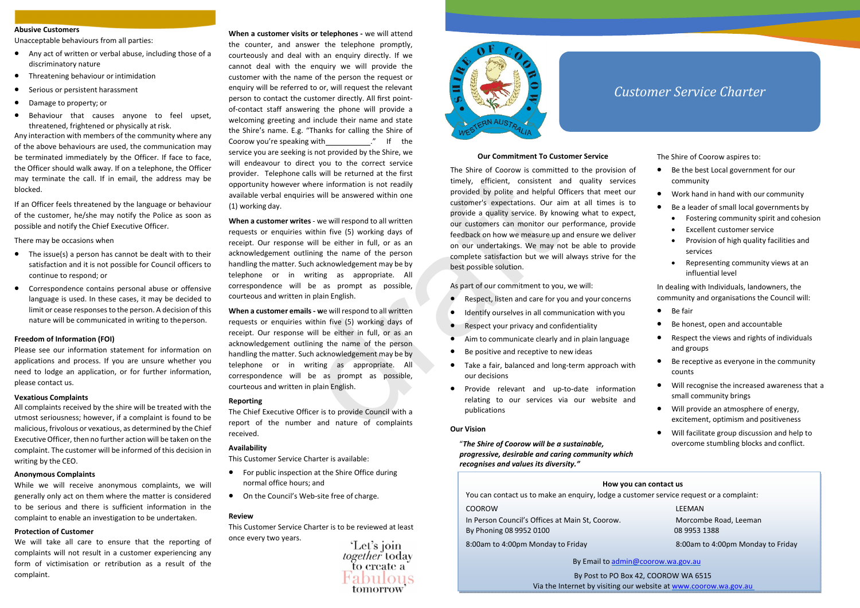- Any act of written or verbal abuse, including those of <sup>a</sup> discriminatory nature
- **•** Threatening behaviour or intimidation
- . Serious or persistent harassment
- . Damage to property; or
- . Behaviour that causes anyone to feel upset, threatened, frightened or physically at risk.

Any interaction with members of the community where any of the above behaviours are used, the communication may be terminated immediately by the Officer. If face to face, the Officer should walk away. If on <sup>a</sup> telephone, the Officer may terminate the call. If in email, the address may be blocked.

If an Officer feels threatened by the language or behaviour of the customer, he/she may notify the Police as soon as possible and notify the Chief Executive Officer.

There may be occasions when

- The issue(s) <sup>a</sup> person has cannot be dealt with to their satisfaction and it is not possible for Council officers to continue to respond; or
- . Correspondence contains personal abuse or offensive language is used. In these cases, it may be decided to limit or cease responses to the person. A decision of this nature will be communicated in writing to theperson.

### **Freedom of Information (FOI)**

Please see our information statement for information on applications and process. If you are unsure whether you need to lodge an application, or for further information, please contact us.

### **Vexatious Complaints**

All complaints received by the shire will be treated with the utmost seriousness; however, if <sup>a</sup> complaint is found to be malicious, frivolous or vexatious, as determined by the Chief ExecutiveOfficer, then no further action will be taken on the complaint. The customer will be informed of this decision in writing by the CEO.

### **Anonymous Complaints**

While we will receive anonymous complaints, we will generally only act on them where the matter is considered to be serious and there is sufficient information in the complaint to enable an investigation to be undertaken.

### **Protection of Customer**

We will take all care to ensure that the reporting of complaints will not result in <sup>a</sup> customer experiencing any form of victimisation or retribution as <sup>a</sup> result of the complaint.

**Abusive Customers or version of the same transfer with a sequence with the same of the same of the same of the same of the same of the same of the same of the same of the same of the same of the same of the same of the sa When <sup>a</sup> customer visits or telephones ‐** we will attend the counter, and answer the telephone promptly, courteously and deal with an enquiry directly. If we cannot deal with the enquiry we will provide the customer with the name of the person the request or enquiry will be referred to or, will request the relevant person to contact the customer directly. All first point‐ of‐contact staff answering the phone will provide <sup>a</sup> welcoming greeting and include their name and state the Shire's name. E.g. "Thanks for calling the Shire of Coorow you're speaking with \_\_\_\_\_\_\_\_\_\_\_\_." If the service you are seeking is not provided by the Shire, we will endeavour to direct you to the correct service provider. Telephone calls will be returned at the first opportunity however where information is not readily available verbal enquiries will be answered within one (1) working day.

**When <sup>a</sup> customer writes** ‐ we will respond to all written requests or enquiries within five (5) working days of receipt. Our response will be either in full, or as an acknowledgement outlining the name of the person handling the matter. Such acknowledgement may be by telephone or in writing as appropriate. All correspondence will be as prompt as possible, courteous and written in plain English.

**When <sup>a</sup> customer emails ‐ w**<sup>e</sup> will respond to all written requests or enquiries within five (5) working days of receipt. Our response will be either in full, or as an acknowledgement outlining the name of the person handling the matter. Such acknowledgement may be by telephone or in writing as appropriate. All correspondence will be as prompt as possible, courteous and written in plain English.

### **Reporting**

The Chief Executive Officer is to provide Council with <sup>a</sup> report of the number and nature of complaints received.

### **Availability**

This Customer Service Charter is available:

- **•** For public inspection at the Shire Office during normal office hours; and
- On the Council's Web-site free of charge.

### **Review**

This Customer Service Charter is to be reviewed at least once every two years.

'Let's join together today to create a bulous tomorrow



# *Customer Service Charter*

### **Our Commitment To Customer Service**

The Shire of Coorow is committed to the provision of timely, efficient, consistent and quality services provided by polite and helpful Officers that meet our customer's expectations. Our aim at all times is to provide <sup>a</sup> quality service. By knowing what to expect, our customers can monitor our performance, provide feedback on how we measure up and ensure we deliver on our undertakings. We may not be able to provide complete satisfaction but we will always strive for the best possible solution.

As part of our commitment to you, we will:

- ۰ Respect, listen and care for you and your concerns
- $\bullet$ Identify ourselves in all communication with you
- $\bullet$ Respect your privacy and confidentiality
- $\blacksquare$ • Aim to communicate clearly and in plain language
- $\bullet$ ● Be positive and receptive to new ideas
- $\bullet$ ● Take a fair, balanced and long-term approach with our decisions
- ۰ ● Provide relevant and up-to-date information relating to our services via our website and publications

### **Our Vision**

"*The Shire of Coorow will be <sup>a</sup> sustainable, progressive, desirable and caring community which recognises and values its diversity."*

The Shire of Coorow aspires to:

- $\bullet$ ● Be the best Local government for our community
- $\bullet$ Work hand in hand with our community
- $\bullet$ ● Be a leader of small local governments by
	- Fostering community spirit and cohesion
	- $\bullet$ Excellent customer service
	- $\bullet$ • Provision of high quality facilities and services
	- Representing community views at an influential level

In dealing with Individuals, landowners, the community and organisations the Council will:

- ۰ • Be fair
- ۰ Be honest, open and accountable
- $\bullet$  Respect the views and rights of individuals and groups
- $\bullet$  Be receptive as everyone in the community counts
- Will recognise the increased awareness that <sup>a</sup> small community brings
- Will provide an atmosphere of energy, excitement, optimism and positiveness
- $\bullet$  Will facilitate group discussion and help to overcome stumbling blocks and conflict.

### **How you can contact us**

You can contact us to make an enquiry, lodge <sup>a</sup> customer service request or <sup>a</sup> complaint:

COOROW

In Person Council's Offices at Main St, Coorow. Morcombe Road, Leeman By Phoning 08 9952 0100 08 9953 1388

8:00am to 4:00pm Monday to Friday

**LEEMAN** 

8:00am to 4:00pm Monday to Friday

By Email to admin@coorow.wa.gov.au

By Post to PO Box 42, COOROW WA 6515 Via the Internet by visiting our website at www.coorow.wa.gov.au